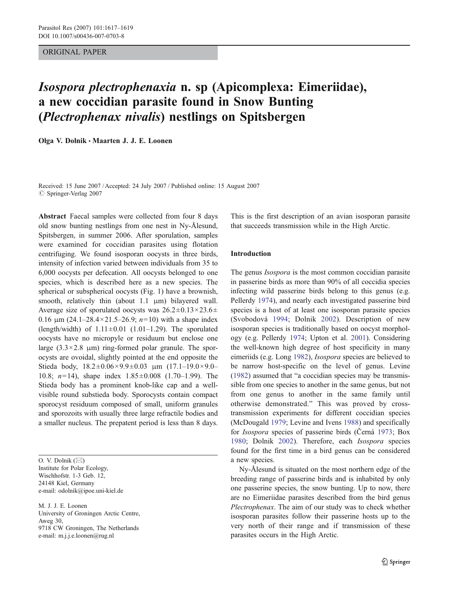# ORIGINAL PAPER

# Isospora plectrophenaxia n. sp (Apicomplexa: Eimeriidae), a new coccidian parasite found in Snow Bunting (Plectrophenax nivalis) nestlings on Spitsbergen

Olga V. Dolnik *&* Maarten J. J. E. Loonen

Received: 15 June 2007 /Accepted: 24 July 2007 / Published online: 15 August 2007  $\oslash$  Springer-Verlag 2007

Abstract Faecal samples were collected from four 8 days old snow bunting nestlings from one nest in Ny-Ålesund, Spitsbergen, in summer 2006. After sporulation, samples were examined for coccidian parasites using flotation centrifuging. We found isosporan oocysts in three birds, intensity of infection varied between individuals from 35 to 6,000 oocysts per defecation. All oocysts belonged to one species, which is described here as a new species. The spherical or subspherical oocysts (Fig. 1) have a brownish, smooth, relatively thin (about 1.1 μm) bilayered wall. Average size of sporulated oocysts was  $26.2 \pm 0.13 \times 23.6 \pm 1.13 \times 23.6 \pm 1.13 \times 23.6 \pm 1.13 \times 23.6 \pm 1.13 \times 23.6 \pm 1.13 \times 23.6 \pm 1.13 \times 23.6 \pm 1.13 \times 23.6 \pm 1.13 \times 23.6 \pm 1.13 \times 23.6 \pm 1.13 \times 23.6 \pm 1.13 \times 23.6 \pm 1.13 \times$ 0.16  $\mu$ m (24.1–28.4×21.5–26.9; n=10) with a shape index (length/width) of  $1.11 \pm 0.01$  (1.01–1.29). The sporulated oocysts have no micropyle or residuum but enclose one large  $(3.3 \times 2.8 \mu m)$  ring-formed polar granule. The sporocysts are ovoidal, slightly pointed at the end opposite the Stieda body,  $18.2 \pm 0.06 \times 9.9 \pm 0.03$   $\mu$ m  $(17.1 - 19.0 \times 9.0 -$ 10.8; n=14), shape index 1.85±0.008 (1.70–1.99). The Stieda body has a prominent knob-like cap and a wellvisible round substieda body. Sporocysts contain compact sporocyst residuum composed of small, uniform granules and sporozoits with usually three large refractile bodies and a smaller nucleus. The prepatent period is less than 8 days.

O. V. Dolnik (*\**) Institute for Polar Ecology, Wischhofstr. 1-3 Geb. 12, 24148 Kiel, Germany e-mail: odolnik@ipoe.uni-kiel.de

M. J. J. E. Loonen University of Groningen Arctic Centre, Aweg 30, 9718 CW Groningen, The Netherlands e-mail: m.j.j.e.loonen@rug.nl

This is the first description of an avian isosporan parasite that succeeds transmission while in the High Arctic.

### Introduction

The genus *Isospora* is the most common coccidian parasite in passerine birds as more than 90% of all coccidia species infecting wild passerine birds belong to this genus (e.g. Pellerdy [1974](#page-2-0)), and nearly each investigated passerine bird species is a host of at least one isosporan parasite species (Svobodová [1994](#page-2-0); Dolnik [2002\)](#page-2-0). Description of new isosporan species is traditionally based on oocyst morphology (e.g. Pellerdy [1974](#page-2-0); Upton et al. [2001\)](#page-2-0). Considering the well-known high degree of host specificity in many eimeriids (e.g. Long [1982](#page-2-0)), Isospora species are believed to be narrow host-specific on the level of genus. Levine [\(1982](#page-2-0)) assumed that "a coccidian species may be transmissible from one species to another in the same genus, but not from one genus to another in the same family until otherwise demonstrated." This was proved by crosstransmission experiments for different coccidian species (McDougald [1979](#page-2-0); Levine and Ivens [1988\)](#page-2-0) and specifically for Isospora species of passerine birds (Černá [1973;](#page-2-0) Box [1980](#page-2-0); Dolnik [2002\)](#page-2-0). Therefore, each Isospora species found for the first time in a bird genus can be considered a new species.

Ny-Ålesund is situated on the most northern edge of the breeding range of passerine birds and is inhabited by only one passerine species, the snow bunting. Up to now, there are no Eimeriidae parasites described from the bird genus Plectrophenax. The aim of our study was to check whether isosporan parasites follow their passerine hosts up to the very north of their range and if transmission of these parasites occurs in the High Arctic.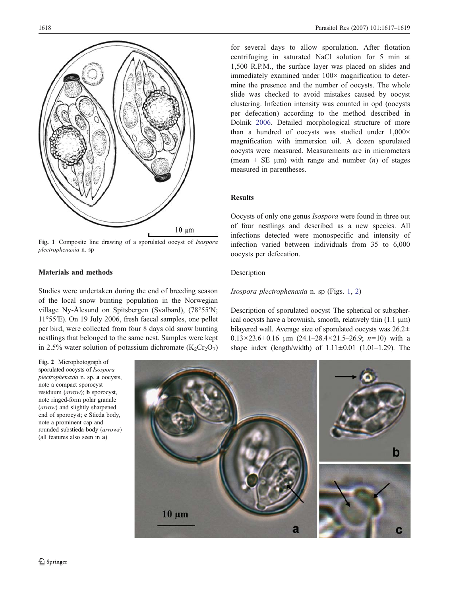

Fig. 1 Composite line drawing of a sporulated oocyst of Isospora plectrophenaxia n. sp

# Materials and methods

Studies were undertaken during the end of breeding season of the local snow bunting population in the Norwegian village Ny-Ålesund on Spitsbergen (Svalbard), (78°55′N; 11°55′E). On 19 July 2006, fresh faecal samples, one pellet per bird, were collected from four 8 days old snow bunting nestlings that belonged to the same nest. Samples were kept in 2.5% water solution of potassium dichromate  $(K_2Cr_2O_7)$ 

Fig. 2 Microphotograph of sporulated oocysts of Isospora plectrophenaxia n. sp. a oocysts, note a compact sporocyst residuum (arrow); b sporocyst, note ringed-form polar granule (arrow) and slightly sharpened end of sporocyst; c Stieda body, note a prominent cap and rounded substieda-body (arrows) (all features also seen in a)

for several days to allow sporulation. After flotation centrifuging in saturated NaCl solution for 5 min at 1,500 R.P.M., the surface layer was placed on slides and immediately examined under  $100 \times$  magnification to determine the presence and the number of oocysts. The whole slide was checked to avoid mistakes caused by oocyst clustering. Infection intensity was counted in opd (oocysts per defecation) according to the method described in Dolnik [2006](#page-2-0). Detailed morphological structure of more than a hundred of oocysts was studied under  $1,000 \times$ magnification with immersion oil. A dozen sporulated oocysts were measured. Measurements are in micrometers (mean  $\pm$  SE  $\mu$ m) with range and number (*n*) of stages measured in parentheses.

# Results

Oocysts of only one genus Isospora were found in three out of four nestlings and described as a new species. All infections detected were monospecific and intensity of infection varied between individuals from 35 to 6,000 oocysts per defecation.

#### Description

#### Isospora plectrophenaxia n. sp (Figs. 1, 2)

Description of sporulated oocyst The spherical or subspherical oocysts have a brownish, smooth, relatively thin (1.1 μm) bilayered wall. Average size of sporulated oocysts was 26.2±  $0.13 \times 23.6 \pm 0.16$  μm  $(24.1 - 28.4 \times 21.5 - 26.9; n=10)$  with a shape index (length/width) of  $1.11\pm0.01$  (1.01–1.29). The